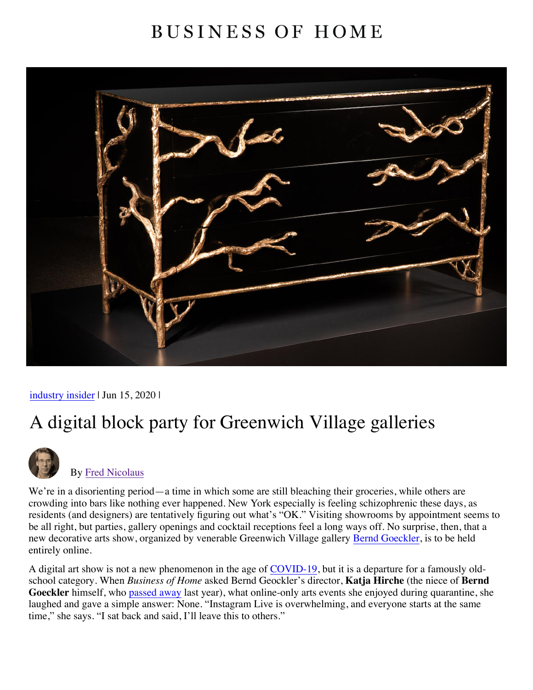## **BUSINESS OF HOME**



[industry insider](https://businessofhome.com/news/tagged/industry%20insider) | Jun 15, 2020 |

## A digital block party for Greenwich Village galleries



## By [Fred Nicolaus](https://businessofhome.com/articles/authored_by/Fred-Nicolaus)

We're in a disorienting period—a time in which some are still bleaching their groceries, while others are crowding into bars like nothing ever happened. New York especially is feeling schizophrenic these days, as residents (and designers) are tentatively figuring out what's "OK." Visiting showrooms by appointment seems to be all right, but parties, gallery openings and cocktail receptions feel a long ways off. No surprise, then, that a new decorative arts show, organized by venerable Greenwich Village gallery [Bernd Goeckler](https://businessofhome.com/scenes/bernd-goeckler-debuts-duetto-at-on10), is to be held entirely online.

A digital art show is not a new phenomenon in the age of [COVID-19](https://businessofhome.com/news/tagged/coronavirus), but it is a departure for a famously oldschool category. When *Business of Home* asked Bernd Geockler's director, **Katja Hirche** (the niece of **Bernd Goeckler** himself, who [passed away](http://businessofhome.com/articles/ikea-to-invest-220-million-in-climate-protection-120-000-banana-eaten-at-art-basel-miami-and-more) last year), what online-only arts events she enjoyed during quarantine, she laughed and gave a simple answer: None. "Instagram Live is overwhelming, and everyone starts at the same time," she says. "I sat back and said, I'll leave this to others."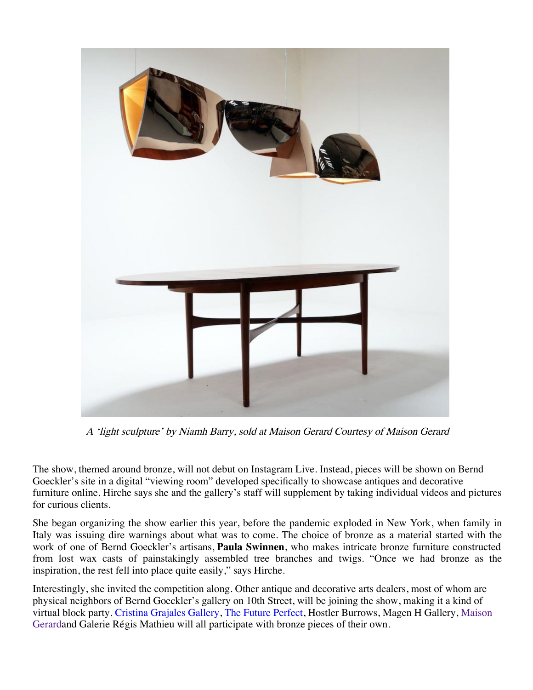

A 'light sculpture' by Niamh Barry, sold at Maison Gerard Courtesy of Maison Gerard

[The show, themed around bronze, will not debut on Instagram Live. Instead, pieces will be shown on Bernd](https://businessofhome.com/articles/1stdibs-surveyed-600-designers-here-are-the-changes-they-made) Goeckler's site in a digital "viewing room" developed specifically to showcase antiques and decorative furniture online. Hirche says she and the gallery's staff will supplement by taking individual videos and pictures for curious clients.

She began organizing the show earlier this year, before the pandemic exploded in New York, when family in Italy was issuing dire warnings about what was to come. The choice of bronze as a material started with the work of one of Bernd Goeckler's artisans, **Paula Swinnen**, who makes intricate bronze furniture constructed from lost wax casts of painstakingly assembled tree branches and twigs. "Once we had bronze as the inspiration, the rest fell into place quite easily," says Hirche.

Interestingly, she invited the competition along. Other antique and decorative arts dealers, most of whom are physical neighbors of Bernd Goeckler's gallery on 10th Street, will be joining the show, making it a kind of virtual block party. [Cristina Grajales Gallery](https://businessofhome.com/articles/designers-guide-to-miami-art-week), [The Future Perfect](https://businessofhome.com/articles/pier-1-files-for-bankruptcy-scandal-at-the-cooper-hewitt-museum-and-more), Hostler Burrows, Magen H Gallery, Maison Gerardand Galerie Régis Mathieu will all participate with bronze pieces of their own.